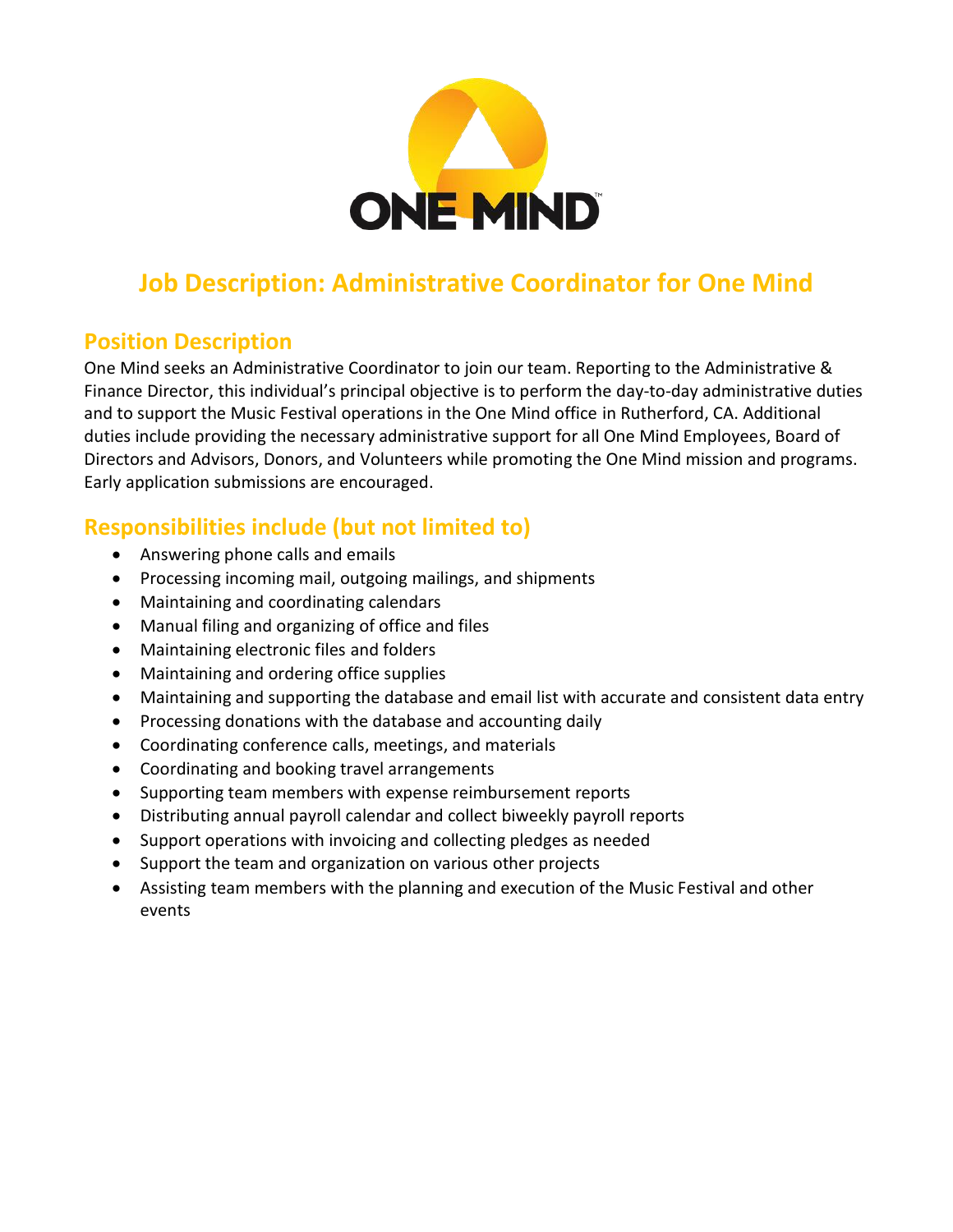

# **Job Description: Administrative Coordinator for One Mind**

## **Position Description**

One Mind seeks an Administrative Coordinator to join our team. Reporting to the Administrative & Finance Director, this individual's principal objective is to perform the day-to-day administrative duties and to support the Music Festival operations in the One Mind office in Rutherford, CA. Additional duties include providing the necessary administrative support for all One Mind Employees, Board of Directors and Advisors, Donors, and Volunteers while promoting the One Mind mission and programs. Early application submissions are encouraged.

# **Responsibilities include (but not limited to)**

- Answering phone calls and emails
- Processing incoming mail, outgoing mailings, and shipments
- Maintaining and coordinating calendars
- Manual filing and organizing of office and files
- Maintaining electronic files and folders
- Maintaining and ordering office supplies
- Maintaining and supporting the database and email list with accurate and consistent data entry
- Processing donations with the database and accounting daily
- Coordinating conference calls, meetings, and materials
- Coordinating and booking travel arrangements
- Supporting team members with expense reimbursement reports
- Distributing annual payroll calendar and collect biweekly payroll reports
- Support operations with invoicing and collecting pledges as needed
- Support the team and organization on various other projects
- Assisting team members with the planning and execution of the Music Festival and other events